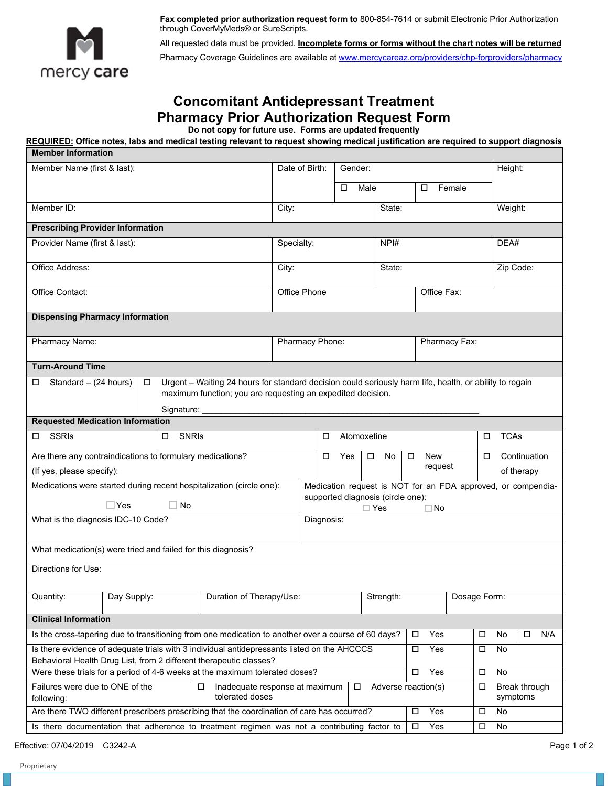

**Fax completed prior authorization request form to** 800-854-7614 or submit Electronic Prior Authorization through CoverMyMeds® or SureScripts.

All requested data must be provided. **Incomplete forms or forms without the chart notes will be returned**  Pharmacy Coverage Guidelines are available at [www.mercycareaz.org/providers/chp-forproviders/pharmacy](http://www.mercycareaz.org/providers/chp-forproviders/pharmacy) 

## **Concomitant Antidepressant Treatment Pharmacy Prior Authorization Request Form**

**Do not copy for future use. Forms are updated frequently** 

**REQUIRED: Office notes, labs and medical testing relevant to request showing medical justification are required to support diagnosis** 

| <b>Member Information</b>                                                                                                                                         |                                                                                                                                                                                      |                                |                     |                |                                                 |                                 |               |                  |                                                              |  |
|-------------------------------------------------------------------------------------------------------------------------------------------------------------------|--------------------------------------------------------------------------------------------------------------------------------------------------------------------------------------|--------------------------------|---------------------|----------------|-------------------------------------------------|---------------------------------|---------------|------------------|--------------------------------------------------------------|--|
| Member Name (first & last):                                                                                                                                       |                                                                                                                                                                                      |                                | Date of Birth:      | Gender:        |                                                 |                                 |               | Height:          |                                                              |  |
|                                                                                                                                                                   |                                                                                                                                                                                      |                                |                     | Male<br>$\Box$ |                                                 | □                               | Female        |                  |                                                              |  |
| Member ID:                                                                                                                                                        |                                                                                                                                                                                      | City:                          |                     |                | State:                                          |                                 |               | Weight:          |                                                              |  |
| <b>Prescribing Provider Information</b>                                                                                                                           |                                                                                                                                                                                      |                                |                     |                |                                                 |                                 |               |                  |                                                              |  |
| Provider Name (first & last):                                                                                                                                     |                                                                                                                                                                                      | Specialty:                     |                     |                | NPH#                                            |                                 |               | DEA#             |                                                              |  |
| Office Address:                                                                                                                                                   |                                                                                                                                                                                      | City:                          |                     |                | State:                                          |                                 |               | Zip Code:        |                                                              |  |
| Office Contact:                                                                                                                                                   |                                                                                                                                                                                      |                                | <b>Office Phone</b> |                |                                                 |                                 | Office Fax:   |                  |                                                              |  |
| <b>Dispensing Pharmacy Information</b>                                                                                                                            |                                                                                                                                                                                      |                                |                     |                |                                                 |                                 |               |                  |                                                              |  |
| Pharmacy Name:                                                                                                                                                    |                                                                                                                                                                                      |                                | Pharmacy Phone:     |                |                                                 |                                 | Pharmacy Fax: |                  |                                                              |  |
| <b>Turn-Around Time</b>                                                                                                                                           |                                                                                                                                                                                      |                                |                     |                |                                                 |                                 |               |                  |                                                              |  |
| Standard $-$ (24 hours)                                                                                                                                           | Urgent - Waiting 24 hours for standard decision could seriously harm life, health, or ability to regain<br>maximum function; you are requesting an expedited decision.<br>Signature: |                                |                     |                |                                                 |                                 |               |                  |                                                              |  |
| <b>Requested Medication Information</b>                                                                                                                           |                                                                                                                                                                                      |                                |                     |                |                                                 |                                 |               |                  |                                                              |  |
| <b>SSRIs</b><br>□                                                                                                                                                 | <b>SNRIs</b><br>□                                                                                                                                                                    |                                | □                   | Atomoxetine    |                                                 |                                 |               | <b>TCAs</b><br>□ |                                                              |  |
| Are there any contraindications to formulary medications?<br>(If yes, please specify):                                                                            |                                                                                                                                                                                      |                                | $\Box$              | Yes            | $\Box$<br>No                                    | <b>New</b><br>$\Box$<br>request |               | □                | Continuation<br>of therapy                                   |  |
| Medications were started during recent hospitalization (circle one):                                                                                              |                                                                                                                                                                                      |                                |                     |                |                                                 |                                 |               |                  | Medication request is NOT for an FDA approved, or compendia- |  |
| $\Box$ Yes                                                                                                                                                        | No                                                                                                                                                                                   |                                |                     |                | supported diagnosis (circle one):<br>$\Box$ Yes | $\Box$ No                       |               |                  |                                                              |  |
| What is the diagnosis IDC-10 Code?                                                                                                                                |                                                                                                                                                                                      |                                | Diagnosis:          |                |                                                 |                                 |               |                  |                                                              |  |
|                                                                                                                                                                   |                                                                                                                                                                                      |                                |                     |                |                                                 |                                 |               |                  |                                                              |  |
| What medication(s) were tried and failed for this diagnosis?                                                                                                      |                                                                                                                                                                                      |                                |                     |                |                                                 |                                 |               |                  |                                                              |  |
| Directions for Use:                                                                                                                                               |                                                                                                                                                                                      |                                |                     |                |                                                 |                                 |               |                  |                                                              |  |
| Day Supply:<br>Quantity:                                                                                                                                          | Duration of Therapy/Use:                                                                                                                                                             |                                |                     |                | Strength:                                       |                                 | Dosage Form:  |                  |                                                              |  |
| <b>Clinical Information</b>                                                                                                                                       |                                                                                                                                                                                      |                                |                     |                |                                                 |                                 |               |                  |                                                              |  |
| Is the cross-tapering due to transitioning from one medication to another over a course of 60 days?                                                               |                                                                                                                                                                                      |                                |                     |                |                                                 | Yes<br>$\Box$                   | □             | No               | N/A<br>□                                                     |  |
| Is there evidence of adequate trials with 3 individual antidepressants listed on the AHCCCS<br>Behavioral Health Drug List, from 2 different therapeutic classes? |                                                                                                                                                                                      |                                |                     |                |                                                 | Yes<br>$\Box$                   | □             | No               |                                                              |  |
| Were these trials for a period of 4-6 weeks at the maximum tolerated doses?                                                                                       |                                                                                                                                                                                      |                                |                     |                |                                                 | $\Box$<br>Yes                   | $\Box$        | No               |                                                              |  |
| Failures were due to ONE of the<br>following:                                                                                                                     | □<br>tolerated doses                                                                                                                                                                 | Inadequate response at maximum |                     | 0              | Adverse reaction(s)                             |                                 | □             |                  | Break through<br>symptoms                                    |  |
| Are there TWO different prescribers prescribing that the coordination of care has occurred?                                                                       |                                                                                                                                                                                      |                                |                     |                |                                                 | Yes<br>□                        | □             | No               |                                                              |  |
| Is there documentation that adherence to treatment regimen was not a contributing factor to                                                                       |                                                                                                                                                                                      |                                |                     |                |                                                 | Yes<br>$\Box$                   | $\Box$        | No               |                                                              |  |

Effective: 07/04/2019 C3242-A Page 1 of 2